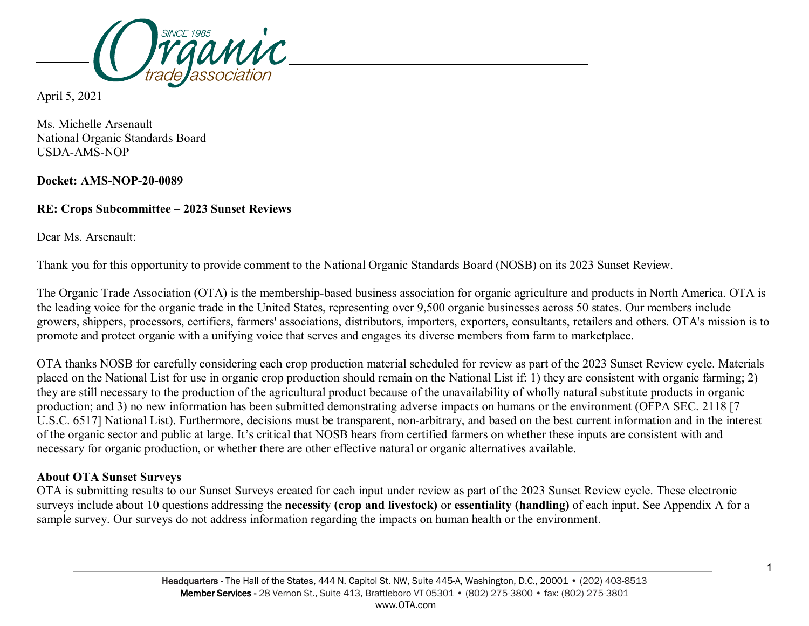

April 5, 2021

Ms. Michelle Arsenault National Organic Standards Board USDA-AMS-NOP

**Docket: AMS-NOP-20-0089**

## **RE: Crops Subcommittee – 2023 Sunset Reviews**

Dear Ms. Arsenault:

Thank you for this opportunity to provide comment to the National Organic Standards Board (NOSB) on its 2023 Sunset Review.

The Organic Trade Association (OTA) is the membership-based business association for organic agriculture and products in North America. OTA is the leading voice for the organic trade in the United States, representing over 9,500 organic businesses across 50 states. Our members include growers, shippers, processors, certifiers, farmers' associations, distributors, importers, exporters, consultants, retailers and others. OTA's mission is to promote and protect organic with a unifying voice that serves and engages its diverse members from farm to marketplace.

OTA thanks NOSB for carefully considering each crop production material scheduled for review as part of the 2023 Sunset Review cycle. Materials placed on the National List for use in organic crop production should remain on the National List if: 1) they are consistent with organic farming; 2) they are still necessary to the production of the agricultural product because of the unavailability of wholly natural substitute products in organic production; and 3) no new information has been submitted demonstrating adverse impacts on humans or the environment (OFPA SEC. 2118 [7 U.S.C. 6517] National List). Furthermore, decisions must be transparent, non-arbitrary, and based on the best current information and in the interest of the organic sector and public at large. It's critical that NOSB hears from certified farmers on whether these inputs are consistent with and necessary for organic production, or whether there are other effective natural or organic alternatives available.

# **About OTA Sunset Surveys**

OTA is submitting results to our Sunset Surveys created for each input under review as part of the 2023 Sunset Review cycle. These electronic surveys include about 10 questions addressing the **necessity (crop and livestock)** or **essentiality (handling)** of each input. See Appendix A for a sample survey. Our surveys do not address information regarding the impacts on human health or the environment.

1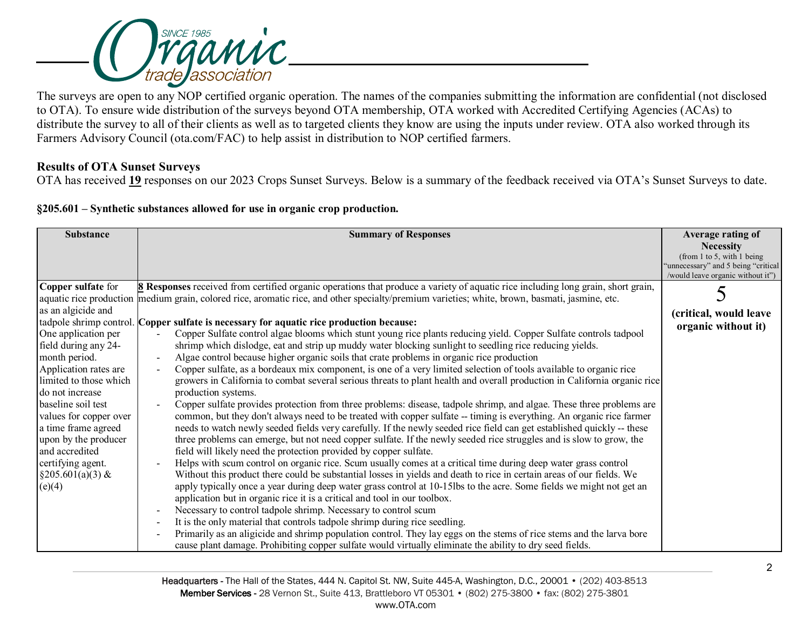

The surveys are open to any NOP certified organic operation. The names of the companies submitting the information are confidential (not disclosed to OTA). To ensure wide distribution of the surveys beyond OTA membership, OTA worked with Accredited Certifying Agencies (ACAs) to distribute the survey to all of their clients as well as to targeted clients they know are using the inputs under review. OTA also worked through its Farmers Advisory Council (ota.com/FAC) to help assist in distribution to NOP certified farmers.

### **Results of OTA Sunset Surveys**

OTA has received **19** responses on our 2023 Crops Sunset Surveys. Below is a summary of the feedback received via OTA's Sunset Surveys to date.

|  |  |  | §205.601 – Synthetic substances allowed for use in organic crop production. |
|--|--|--|-----------------------------------------------------------------------------|
|  |  |  |                                                                             |

| <b>Substance</b>       | <b>Summary of Responses</b>                                                                                                                      | Average rating of                                                  |
|------------------------|--------------------------------------------------------------------------------------------------------------------------------------------------|--------------------------------------------------------------------|
|                        |                                                                                                                                                  | <b>Necessity</b>                                                   |
|                        |                                                                                                                                                  | (from 1 to 5, with 1 being<br>"unnecessary" and 5 being "critical" |
|                        |                                                                                                                                                  | /would leave organic without it")                                  |
| Copper sulfate for     | <b>8</b> Responses received from certified organic operations that produce a variety of aquatic rice including long grain, short grain,          |                                                                    |
|                        | aquatic rice production medium grain, colored rice, aromatic rice, and other specialty/premium varieties; white, brown, basmati, jasmine, etc.   |                                                                    |
| as an algicide and     |                                                                                                                                                  | (critical, would leave                                             |
|                        | tadpole shrimp control. Copper sulfate is necessary for aquatic rice production because:                                                         | organic without it)                                                |
| One application per    | Copper Sulfate control algae blooms which stunt young rice plants reducing yield. Copper Sulfate controls tadpool                                |                                                                    |
| field during any 24-   | shrimp which dislodge, eat and strip up muddy water blocking sunlight to seedling rice reducing yields.                                          |                                                                    |
| month period.          | Algae control because higher organic soils that crate problems in organic rice production<br>$\overline{\phantom{a}}$                            |                                                                    |
| Application rates are  | Copper sulfate, as a bordeaux mix component, is one of a very limited selection of tools available to organic rice<br>$\overline{\phantom{a}}$   |                                                                    |
| limited to those which | growers in California to combat several serious threats to plant health and overall production in California organic rice                        |                                                                    |
| do not increase        | production systems.                                                                                                                              |                                                                    |
| baseline soil test     | Copper sulfate provides protection from three problems: disease, tadpole shrimp, and algae. These three problems are                             |                                                                    |
| values for copper over | common, but they don't always need to be treated with copper sulfate -- timing is everything. An organic rice farmer                             |                                                                    |
| a time frame agreed    | needs to watch newly seeded fields very carefully. If the newly seeded rice field can get established quickly -- these                           |                                                                    |
| upon by the producer   | three problems can emerge, but not need copper sulfate. If the newly seeded rice struggles and is slow to grow, the                              |                                                                    |
| and accredited         | field will likely need the protection provided by copper sulfate.                                                                                |                                                                    |
| certifying agent.      | Helps with scum control on organic rice. Scum usually comes at a critical time during deep water grass control<br>$\overline{\phantom{a}}$       |                                                                    |
| $§205.601(a)(3)$ &     | Without this product there could be substantial losses in yields and death to rice in certain areas of our fields. We                            |                                                                    |
| (e)(4)                 | apply typically once a year during deep water grass control at 10-15lbs to the acre. Some fields we might not get an                             |                                                                    |
|                        | application but in organic rice it is a critical and tool in our toolbox.                                                                        |                                                                    |
|                        | Necessary to control tadpole shrimp. Necessary to control scum<br>$\overline{\phantom{a}}$                                                       |                                                                    |
|                        | It is the only material that controls tadpole shrimp during rice seedling.<br>$\overline{\phantom{a}}$                                           |                                                                    |
|                        | Primarily as an aligicide and shrimp population control. They lay eggs on the stems of rice stems and the larva bore<br>$\overline{\phantom{a}}$ |                                                                    |
|                        | cause plant damage. Prohibiting copper sulfate would virtually eliminate the ability to dry seed fields.                                         |                                                                    |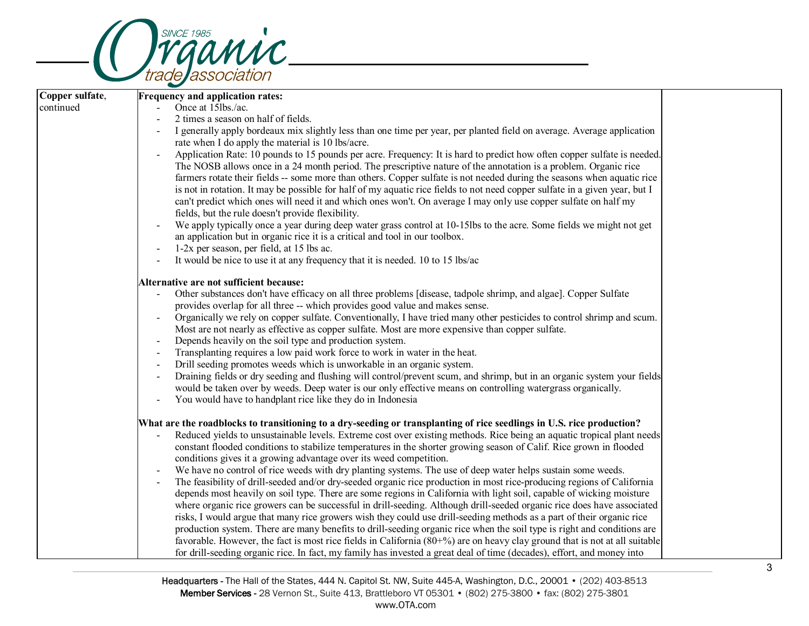

| Copper sulfate,<br><b>Frequency and application rates:</b><br>continued<br>Once at 15lbs./ac.<br>2 times a season on half of fields.<br>I generally apply bordeaux mix slightly less than one time per year, per planted field on average. Average application<br>rate when I do apply the material is 10 lbs/acre.<br>Application Rate: 10 pounds to 15 pounds per acre. Frequency: It is hard to predict how often copper sulfate is needed.<br>$\overline{\phantom{a}}$<br>The NOSB allows once in a 24 month period. The prescriptive nature of the annotation is a problem. Organic rice<br>farmers rotate their fields -- some more than others. Copper sulfate is not needed during the seasons when aquatic rice<br>is not in rotation. It may be possible for half of my aquatic rice fields to not need copper sulfate in a given year, but I<br>can't predict which ones will need it and which ones won't. On average I may only use copper sulfate on half my<br>fields, but the rule doesn't provide flexibility.<br>We apply typically once a year during deep water grass control at 10-15lbs to the acre. Some fields we might not get<br>an application but in organic rice it is a critical and tool in our toolbox.<br>$1-2x$ per season, per field, at 15 lbs ac.<br>It would be nice to use it at any frequency that it is needed. 10 to 15 lbs/ac<br>Alternative are not sufficient because:<br>Other substances don't have efficacy on all three problems [disease, tadpole shrimp, and algae]. Copper Sulfate<br>provides overlap for all three -- which provides good value and makes sense.<br>Organically we rely on copper sulfate. Conventionally, I have tried many other pesticides to control shrimp and scum.<br>$\overline{\phantom{a}}$<br>Most are not nearly as effective as copper sulfate. Most are more expensive than copper sulfate.<br>Depends heavily on the soil type and production system.<br>Transplanting requires a low paid work force to work in water in the heat.<br>Drill seeding promotes weeds which is unworkable in an organic system.<br>Draining fields or dry seeding and flushing will control/prevent scum, and shrimp, but in an organic system your fields<br>$\overline{\phantom{a}}$<br>would be taken over by weeds. Deep water is our only effective means on controlling watergrass organically.<br>You would have to handplant rice like they do in Indonesia<br>What are the roadblocks to transitioning to a dry-seeding or transplanting of rice seedlings in U.S. rice production?<br>Reduced yields to unsustainable levels. Extreme cost over existing methods. Rice being an aquatic tropical plant needs<br>constant flooded conditions to stabilize temperatures in the shorter growing season of Calif. Rice grown in flooded<br>conditions gives it a growing advantage over its weed competition.<br>We have no control of rice weeds with dry planting systems. The use of deep water helps sustain some weeds.<br>The feasibility of drill-seeded and/or dry-seeded organic rice production in most rice-producing regions of California<br>depends most heavily on soil type. There are some regions in California with light soil, capable of wicking moisture<br>where organic rice growers can be successful in drill-seeding. Although drill-seeded organic rice does have associated<br>risks, I would argue that many rice growers wish they could use drill-seeding methods as a part of their organic rice<br>production system. There are many benefits to drill-seeding organic rice when the soil type is right and conditions are<br>favorable. However, the fact is most rice fields in California $(80+%)$ are on heavy clay ground that is not at all suitable<br>for drill-seeding organic rice. In fact, my family has invested a great deal of time (decades), effort, and money into | $\overline{\phantom{0}}$ |  |
|-------------------------------------------------------------------------------------------------------------------------------------------------------------------------------------------------------------------------------------------------------------------------------------------------------------------------------------------------------------------------------------------------------------------------------------------------------------------------------------------------------------------------------------------------------------------------------------------------------------------------------------------------------------------------------------------------------------------------------------------------------------------------------------------------------------------------------------------------------------------------------------------------------------------------------------------------------------------------------------------------------------------------------------------------------------------------------------------------------------------------------------------------------------------------------------------------------------------------------------------------------------------------------------------------------------------------------------------------------------------------------------------------------------------------------------------------------------------------------------------------------------------------------------------------------------------------------------------------------------------------------------------------------------------------------------------------------------------------------------------------------------------------------------------------------------------------------------------------------------------------------------------------------------------------------------------------------------------------------------------------------------------------------------------------------------------------------------------------------------------------------------------------------------------------------------------------------------------------------------------------------------------------------------------------------------------------------------------------------------------------------------------------------------------------------------------------------------------------------------------------------------------------------------------------------------------------------------------------------------------------------------------------------------------------------------------------------------------------------------------------------------------------------------------------------------------------------------------------------------------------------------------------------------------------------------------------------------------------------------------------------------------------------------------------------------------------------------------------------------------------------------------------------------------------------------------------------------------------------------------------------------------------------------------------------------------------------------------------------------------------------------------------------------------------------------------------------------------------------------------------------------------------------------------------------------------------------------------------------------------------------------------------------------------------------------------------------------------------------------------------------------------------------------------------------------------------------------------------------------------------------------------------|--------------------------|--|
|                                                                                                                                                                                                                                                                                                                                                                                                                                                                                                                                                                                                                                                                                                                                                                                                                                                                                                                                                                                                                                                                                                                                                                                                                                                                                                                                                                                                                                                                                                                                                                                                                                                                                                                                                                                                                                                                                                                                                                                                                                                                                                                                                                                                                                                                                                                                                                                                                                                                                                                                                                                                                                                                                                                                                                                                                                                                                                                                                                                                                                                                                                                                                                                                                                                                                                                                                                                                                                                                                                                                                                                                                                                                                                                                                                                                                                                                                                 |                          |  |
|                                                                                                                                                                                                                                                                                                                                                                                                                                                                                                                                                                                                                                                                                                                                                                                                                                                                                                                                                                                                                                                                                                                                                                                                                                                                                                                                                                                                                                                                                                                                                                                                                                                                                                                                                                                                                                                                                                                                                                                                                                                                                                                                                                                                                                                                                                                                                                                                                                                                                                                                                                                                                                                                                                                                                                                                                                                                                                                                                                                                                                                                                                                                                                                                                                                                                                                                                                                                                                                                                                                                                                                                                                                                                                                                                                                                                                                                                                 |                          |  |
|                                                                                                                                                                                                                                                                                                                                                                                                                                                                                                                                                                                                                                                                                                                                                                                                                                                                                                                                                                                                                                                                                                                                                                                                                                                                                                                                                                                                                                                                                                                                                                                                                                                                                                                                                                                                                                                                                                                                                                                                                                                                                                                                                                                                                                                                                                                                                                                                                                                                                                                                                                                                                                                                                                                                                                                                                                                                                                                                                                                                                                                                                                                                                                                                                                                                                                                                                                                                                                                                                                                                                                                                                                                                                                                                                                                                                                                                                                 |                          |  |
|                                                                                                                                                                                                                                                                                                                                                                                                                                                                                                                                                                                                                                                                                                                                                                                                                                                                                                                                                                                                                                                                                                                                                                                                                                                                                                                                                                                                                                                                                                                                                                                                                                                                                                                                                                                                                                                                                                                                                                                                                                                                                                                                                                                                                                                                                                                                                                                                                                                                                                                                                                                                                                                                                                                                                                                                                                                                                                                                                                                                                                                                                                                                                                                                                                                                                                                                                                                                                                                                                                                                                                                                                                                                                                                                                                                                                                                                                                 |                          |  |
|                                                                                                                                                                                                                                                                                                                                                                                                                                                                                                                                                                                                                                                                                                                                                                                                                                                                                                                                                                                                                                                                                                                                                                                                                                                                                                                                                                                                                                                                                                                                                                                                                                                                                                                                                                                                                                                                                                                                                                                                                                                                                                                                                                                                                                                                                                                                                                                                                                                                                                                                                                                                                                                                                                                                                                                                                                                                                                                                                                                                                                                                                                                                                                                                                                                                                                                                                                                                                                                                                                                                                                                                                                                                                                                                                                                                                                                                                                 |                          |  |
|                                                                                                                                                                                                                                                                                                                                                                                                                                                                                                                                                                                                                                                                                                                                                                                                                                                                                                                                                                                                                                                                                                                                                                                                                                                                                                                                                                                                                                                                                                                                                                                                                                                                                                                                                                                                                                                                                                                                                                                                                                                                                                                                                                                                                                                                                                                                                                                                                                                                                                                                                                                                                                                                                                                                                                                                                                                                                                                                                                                                                                                                                                                                                                                                                                                                                                                                                                                                                                                                                                                                                                                                                                                                                                                                                                                                                                                                                                 |                          |  |
|                                                                                                                                                                                                                                                                                                                                                                                                                                                                                                                                                                                                                                                                                                                                                                                                                                                                                                                                                                                                                                                                                                                                                                                                                                                                                                                                                                                                                                                                                                                                                                                                                                                                                                                                                                                                                                                                                                                                                                                                                                                                                                                                                                                                                                                                                                                                                                                                                                                                                                                                                                                                                                                                                                                                                                                                                                                                                                                                                                                                                                                                                                                                                                                                                                                                                                                                                                                                                                                                                                                                                                                                                                                                                                                                                                                                                                                                                                 |                          |  |
|                                                                                                                                                                                                                                                                                                                                                                                                                                                                                                                                                                                                                                                                                                                                                                                                                                                                                                                                                                                                                                                                                                                                                                                                                                                                                                                                                                                                                                                                                                                                                                                                                                                                                                                                                                                                                                                                                                                                                                                                                                                                                                                                                                                                                                                                                                                                                                                                                                                                                                                                                                                                                                                                                                                                                                                                                                                                                                                                                                                                                                                                                                                                                                                                                                                                                                                                                                                                                                                                                                                                                                                                                                                                                                                                                                                                                                                                                                 |                          |  |
|                                                                                                                                                                                                                                                                                                                                                                                                                                                                                                                                                                                                                                                                                                                                                                                                                                                                                                                                                                                                                                                                                                                                                                                                                                                                                                                                                                                                                                                                                                                                                                                                                                                                                                                                                                                                                                                                                                                                                                                                                                                                                                                                                                                                                                                                                                                                                                                                                                                                                                                                                                                                                                                                                                                                                                                                                                                                                                                                                                                                                                                                                                                                                                                                                                                                                                                                                                                                                                                                                                                                                                                                                                                                                                                                                                                                                                                                                                 |                          |  |
|                                                                                                                                                                                                                                                                                                                                                                                                                                                                                                                                                                                                                                                                                                                                                                                                                                                                                                                                                                                                                                                                                                                                                                                                                                                                                                                                                                                                                                                                                                                                                                                                                                                                                                                                                                                                                                                                                                                                                                                                                                                                                                                                                                                                                                                                                                                                                                                                                                                                                                                                                                                                                                                                                                                                                                                                                                                                                                                                                                                                                                                                                                                                                                                                                                                                                                                                                                                                                                                                                                                                                                                                                                                                                                                                                                                                                                                                                                 |                          |  |
|                                                                                                                                                                                                                                                                                                                                                                                                                                                                                                                                                                                                                                                                                                                                                                                                                                                                                                                                                                                                                                                                                                                                                                                                                                                                                                                                                                                                                                                                                                                                                                                                                                                                                                                                                                                                                                                                                                                                                                                                                                                                                                                                                                                                                                                                                                                                                                                                                                                                                                                                                                                                                                                                                                                                                                                                                                                                                                                                                                                                                                                                                                                                                                                                                                                                                                                                                                                                                                                                                                                                                                                                                                                                                                                                                                                                                                                                                                 |                          |  |
|                                                                                                                                                                                                                                                                                                                                                                                                                                                                                                                                                                                                                                                                                                                                                                                                                                                                                                                                                                                                                                                                                                                                                                                                                                                                                                                                                                                                                                                                                                                                                                                                                                                                                                                                                                                                                                                                                                                                                                                                                                                                                                                                                                                                                                                                                                                                                                                                                                                                                                                                                                                                                                                                                                                                                                                                                                                                                                                                                                                                                                                                                                                                                                                                                                                                                                                                                                                                                                                                                                                                                                                                                                                                                                                                                                                                                                                                                                 |                          |  |
|                                                                                                                                                                                                                                                                                                                                                                                                                                                                                                                                                                                                                                                                                                                                                                                                                                                                                                                                                                                                                                                                                                                                                                                                                                                                                                                                                                                                                                                                                                                                                                                                                                                                                                                                                                                                                                                                                                                                                                                                                                                                                                                                                                                                                                                                                                                                                                                                                                                                                                                                                                                                                                                                                                                                                                                                                                                                                                                                                                                                                                                                                                                                                                                                                                                                                                                                                                                                                                                                                                                                                                                                                                                                                                                                                                                                                                                                                                 |                          |  |
|                                                                                                                                                                                                                                                                                                                                                                                                                                                                                                                                                                                                                                                                                                                                                                                                                                                                                                                                                                                                                                                                                                                                                                                                                                                                                                                                                                                                                                                                                                                                                                                                                                                                                                                                                                                                                                                                                                                                                                                                                                                                                                                                                                                                                                                                                                                                                                                                                                                                                                                                                                                                                                                                                                                                                                                                                                                                                                                                                                                                                                                                                                                                                                                                                                                                                                                                                                                                                                                                                                                                                                                                                                                                                                                                                                                                                                                                                                 |                          |  |
|                                                                                                                                                                                                                                                                                                                                                                                                                                                                                                                                                                                                                                                                                                                                                                                                                                                                                                                                                                                                                                                                                                                                                                                                                                                                                                                                                                                                                                                                                                                                                                                                                                                                                                                                                                                                                                                                                                                                                                                                                                                                                                                                                                                                                                                                                                                                                                                                                                                                                                                                                                                                                                                                                                                                                                                                                                                                                                                                                                                                                                                                                                                                                                                                                                                                                                                                                                                                                                                                                                                                                                                                                                                                                                                                                                                                                                                                                                 |                          |  |
|                                                                                                                                                                                                                                                                                                                                                                                                                                                                                                                                                                                                                                                                                                                                                                                                                                                                                                                                                                                                                                                                                                                                                                                                                                                                                                                                                                                                                                                                                                                                                                                                                                                                                                                                                                                                                                                                                                                                                                                                                                                                                                                                                                                                                                                                                                                                                                                                                                                                                                                                                                                                                                                                                                                                                                                                                                                                                                                                                                                                                                                                                                                                                                                                                                                                                                                                                                                                                                                                                                                                                                                                                                                                                                                                                                                                                                                                                                 |                          |  |
|                                                                                                                                                                                                                                                                                                                                                                                                                                                                                                                                                                                                                                                                                                                                                                                                                                                                                                                                                                                                                                                                                                                                                                                                                                                                                                                                                                                                                                                                                                                                                                                                                                                                                                                                                                                                                                                                                                                                                                                                                                                                                                                                                                                                                                                                                                                                                                                                                                                                                                                                                                                                                                                                                                                                                                                                                                                                                                                                                                                                                                                                                                                                                                                                                                                                                                                                                                                                                                                                                                                                                                                                                                                                                                                                                                                                                                                                                                 |                          |  |
|                                                                                                                                                                                                                                                                                                                                                                                                                                                                                                                                                                                                                                                                                                                                                                                                                                                                                                                                                                                                                                                                                                                                                                                                                                                                                                                                                                                                                                                                                                                                                                                                                                                                                                                                                                                                                                                                                                                                                                                                                                                                                                                                                                                                                                                                                                                                                                                                                                                                                                                                                                                                                                                                                                                                                                                                                                                                                                                                                                                                                                                                                                                                                                                                                                                                                                                                                                                                                                                                                                                                                                                                                                                                                                                                                                                                                                                                                                 |                          |  |
|                                                                                                                                                                                                                                                                                                                                                                                                                                                                                                                                                                                                                                                                                                                                                                                                                                                                                                                                                                                                                                                                                                                                                                                                                                                                                                                                                                                                                                                                                                                                                                                                                                                                                                                                                                                                                                                                                                                                                                                                                                                                                                                                                                                                                                                                                                                                                                                                                                                                                                                                                                                                                                                                                                                                                                                                                                                                                                                                                                                                                                                                                                                                                                                                                                                                                                                                                                                                                                                                                                                                                                                                                                                                                                                                                                                                                                                                                                 |                          |  |
|                                                                                                                                                                                                                                                                                                                                                                                                                                                                                                                                                                                                                                                                                                                                                                                                                                                                                                                                                                                                                                                                                                                                                                                                                                                                                                                                                                                                                                                                                                                                                                                                                                                                                                                                                                                                                                                                                                                                                                                                                                                                                                                                                                                                                                                                                                                                                                                                                                                                                                                                                                                                                                                                                                                                                                                                                                                                                                                                                                                                                                                                                                                                                                                                                                                                                                                                                                                                                                                                                                                                                                                                                                                                                                                                                                                                                                                                                                 |                          |  |
|                                                                                                                                                                                                                                                                                                                                                                                                                                                                                                                                                                                                                                                                                                                                                                                                                                                                                                                                                                                                                                                                                                                                                                                                                                                                                                                                                                                                                                                                                                                                                                                                                                                                                                                                                                                                                                                                                                                                                                                                                                                                                                                                                                                                                                                                                                                                                                                                                                                                                                                                                                                                                                                                                                                                                                                                                                                                                                                                                                                                                                                                                                                                                                                                                                                                                                                                                                                                                                                                                                                                                                                                                                                                                                                                                                                                                                                                                                 |                          |  |
|                                                                                                                                                                                                                                                                                                                                                                                                                                                                                                                                                                                                                                                                                                                                                                                                                                                                                                                                                                                                                                                                                                                                                                                                                                                                                                                                                                                                                                                                                                                                                                                                                                                                                                                                                                                                                                                                                                                                                                                                                                                                                                                                                                                                                                                                                                                                                                                                                                                                                                                                                                                                                                                                                                                                                                                                                                                                                                                                                                                                                                                                                                                                                                                                                                                                                                                                                                                                                                                                                                                                                                                                                                                                                                                                                                                                                                                                                                 |                          |  |
|                                                                                                                                                                                                                                                                                                                                                                                                                                                                                                                                                                                                                                                                                                                                                                                                                                                                                                                                                                                                                                                                                                                                                                                                                                                                                                                                                                                                                                                                                                                                                                                                                                                                                                                                                                                                                                                                                                                                                                                                                                                                                                                                                                                                                                                                                                                                                                                                                                                                                                                                                                                                                                                                                                                                                                                                                                                                                                                                                                                                                                                                                                                                                                                                                                                                                                                                                                                                                                                                                                                                                                                                                                                                                                                                                                                                                                                                                                 |                          |  |
|                                                                                                                                                                                                                                                                                                                                                                                                                                                                                                                                                                                                                                                                                                                                                                                                                                                                                                                                                                                                                                                                                                                                                                                                                                                                                                                                                                                                                                                                                                                                                                                                                                                                                                                                                                                                                                                                                                                                                                                                                                                                                                                                                                                                                                                                                                                                                                                                                                                                                                                                                                                                                                                                                                                                                                                                                                                                                                                                                                                                                                                                                                                                                                                                                                                                                                                                                                                                                                                                                                                                                                                                                                                                                                                                                                                                                                                                                                 |                          |  |
|                                                                                                                                                                                                                                                                                                                                                                                                                                                                                                                                                                                                                                                                                                                                                                                                                                                                                                                                                                                                                                                                                                                                                                                                                                                                                                                                                                                                                                                                                                                                                                                                                                                                                                                                                                                                                                                                                                                                                                                                                                                                                                                                                                                                                                                                                                                                                                                                                                                                                                                                                                                                                                                                                                                                                                                                                                                                                                                                                                                                                                                                                                                                                                                                                                                                                                                                                                                                                                                                                                                                                                                                                                                                                                                                                                                                                                                                                                 |                          |  |
|                                                                                                                                                                                                                                                                                                                                                                                                                                                                                                                                                                                                                                                                                                                                                                                                                                                                                                                                                                                                                                                                                                                                                                                                                                                                                                                                                                                                                                                                                                                                                                                                                                                                                                                                                                                                                                                                                                                                                                                                                                                                                                                                                                                                                                                                                                                                                                                                                                                                                                                                                                                                                                                                                                                                                                                                                                                                                                                                                                                                                                                                                                                                                                                                                                                                                                                                                                                                                                                                                                                                                                                                                                                                                                                                                                                                                                                                                                 |                          |  |
|                                                                                                                                                                                                                                                                                                                                                                                                                                                                                                                                                                                                                                                                                                                                                                                                                                                                                                                                                                                                                                                                                                                                                                                                                                                                                                                                                                                                                                                                                                                                                                                                                                                                                                                                                                                                                                                                                                                                                                                                                                                                                                                                                                                                                                                                                                                                                                                                                                                                                                                                                                                                                                                                                                                                                                                                                                                                                                                                                                                                                                                                                                                                                                                                                                                                                                                                                                                                                                                                                                                                                                                                                                                                                                                                                                                                                                                                                                 |                          |  |
|                                                                                                                                                                                                                                                                                                                                                                                                                                                                                                                                                                                                                                                                                                                                                                                                                                                                                                                                                                                                                                                                                                                                                                                                                                                                                                                                                                                                                                                                                                                                                                                                                                                                                                                                                                                                                                                                                                                                                                                                                                                                                                                                                                                                                                                                                                                                                                                                                                                                                                                                                                                                                                                                                                                                                                                                                                                                                                                                                                                                                                                                                                                                                                                                                                                                                                                                                                                                                                                                                                                                                                                                                                                                                                                                                                                                                                                                                                 |                          |  |
|                                                                                                                                                                                                                                                                                                                                                                                                                                                                                                                                                                                                                                                                                                                                                                                                                                                                                                                                                                                                                                                                                                                                                                                                                                                                                                                                                                                                                                                                                                                                                                                                                                                                                                                                                                                                                                                                                                                                                                                                                                                                                                                                                                                                                                                                                                                                                                                                                                                                                                                                                                                                                                                                                                                                                                                                                                                                                                                                                                                                                                                                                                                                                                                                                                                                                                                                                                                                                                                                                                                                                                                                                                                                                                                                                                                                                                                                                                 |                          |  |
|                                                                                                                                                                                                                                                                                                                                                                                                                                                                                                                                                                                                                                                                                                                                                                                                                                                                                                                                                                                                                                                                                                                                                                                                                                                                                                                                                                                                                                                                                                                                                                                                                                                                                                                                                                                                                                                                                                                                                                                                                                                                                                                                                                                                                                                                                                                                                                                                                                                                                                                                                                                                                                                                                                                                                                                                                                                                                                                                                                                                                                                                                                                                                                                                                                                                                                                                                                                                                                                                                                                                                                                                                                                                                                                                                                                                                                                                                                 |                          |  |
|                                                                                                                                                                                                                                                                                                                                                                                                                                                                                                                                                                                                                                                                                                                                                                                                                                                                                                                                                                                                                                                                                                                                                                                                                                                                                                                                                                                                                                                                                                                                                                                                                                                                                                                                                                                                                                                                                                                                                                                                                                                                                                                                                                                                                                                                                                                                                                                                                                                                                                                                                                                                                                                                                                                                                                                                                                                                                                                                                                                                                                                                                                                                                                                                                                                                                                                                                                                                                                                                                                                                                                                                                                                                                                                                                                                                                                                                                                 |                          |  |
|                                                                                                                                                                                                                                                                                                                                                                                                                                                                                                                                                                                                                                                                                                                                                                                                                                                                                                                                                                                                                                                                                                                                                                                                                                                                                                                                                                                                                                                                                                                                                                                                                                                                                                                                                                                                                                                                                                                                                                                                                                                                                                                                                                                                                                                                                                                                                                                                                                                                                                                                                                                                                                                                                                                                                                                                                                                                                                                                                                                                                                                                                                                                                                                                                                                                                                                                                                                                                                                                                                                                                                                                                                                                                                                                                                                                                                                                                                 |                          |  |
|                                                                                                                                                                                                                                                                                                                                                                                                                                                                                                                                                                                                                                                                                                                                                                                                                                                                                                                                                                                                                                                                                                                                                                                                                                                                                                                                                                                                                                                                                                                                                                                                                                                                                                                                                                                                                                                                                                                                                                                                                                                                                                                                                                                                                                                                                                                                                                                                                                                                                                                                                                                                                                                                                                                                                                                                                                                                                                                                                                                                                                                                                                                                                                                                                                                                                                                                                                                                                                                                                                                                                                                                                                                                                                                                                                                                                                                                                                 |                          |  |
|                                                                                                                                                                                                                                                                                                                                                                                                                                                                                                                                                                                                                                                                                                                                                                                                                                                                                                                                                                                                                                                                                                                                                                                                                                                                                                                                                                                                                                                                                                                                                                                                                                                                                                                                                                                                                                                                                                                                                                                                                                                                                                                                                                                                                                                                                                                                                                                                                                                                                                                                                                                                                                                                                                                                                                                                                                                                                                                                                                                                                                                                                                                                                                                                                                                                                                                                                                                                                                                                                                                                                                                                                                                                                                                                                                                                                                                                                                 |                          |  |
|                                                                                                                                                                                                                                                                                                                                                                                                                                                                                                                                                                                                                                                                                                                                                                                                                                                                                                                                                                                                                                                                                                                                                                                                                                                                                                                                                                                                                                                                                                                                                                                                                                                                                                                                                                                                                                                                                                                                                                                                                                                                                                                                                                                                                                                                                                                                                                                                                                                                                                                                                                                                                                                                                                                                                                                                                                                                                                                                                                                                                                                                                                                                                                                                                                                                                                                                                                                                                                                                                                                                                                                                                                                                                                                                                                                                                                                                                                 |                          |  |
|                                                                                                                                                                                                                                                                                                                                                                                                                                                                                                                                                                                                                                                                                                                                                                                                                                                                                                                                                                                                                                                                                                                                                                                                                                                                                                                                                                                                                                                                                                                                                                                                                                                                                                                                                                                                                                                                                                                                                                                                                                                                                                                                                                                                                                                                                                                                                                                                                                                                                                                                                                                                                                                                                                                                                                                                                                                                                                                                                                                                                                                                                                                                                                                                                                                                                                                                                                                                                                                                                                                                                                                                                                                                                                                                                                                                                                                                                                 |                          |  |
|                                                                                                                                                                                                                                                                                                                                                                                                                                                                                                                                                                                                                                                                                                                                                                                                                                                                                                                                                                                                                                                                                                                                                                                                                                                                                                                                                                                                                                                                                                                                                                                                                                                                                                                                                                                                                                                                                                                                                                                                                                                                                                                                                                                                                                                                                                                                                                                                                                                                                                                                                                                                                                                                                                                                                                                                                                                                                                                                                                                                                                                                                                                                                                                                                                                                                                                                                                                                                                                                                                                                                                                                                                                                                                                                                                                                                                                                                                 |                          |  |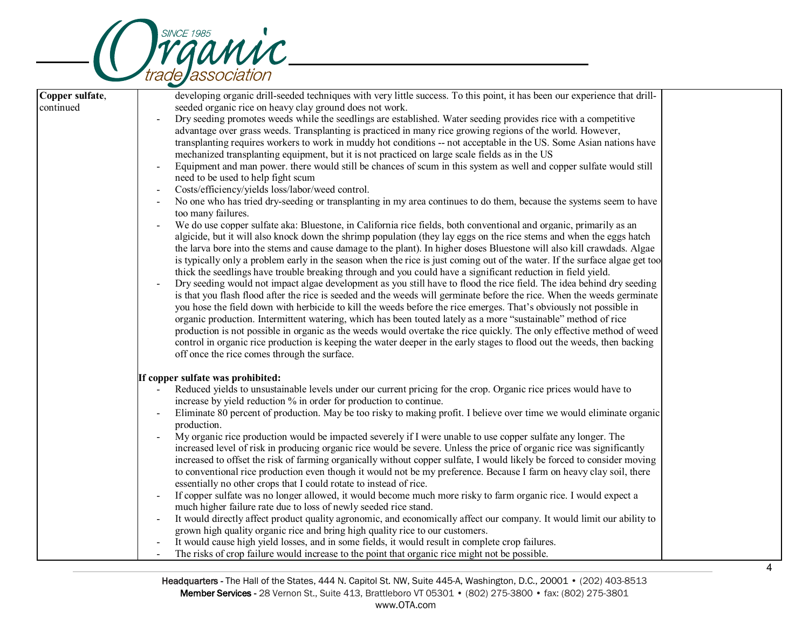

| Copper sulfate,<br>continued | developing organic drill-seeded techniques with very little success. To this point, it has been our experience that drill-<br>seeded organic rice on heavy clay ground does not work.<br>Dry seeding promotes weeds while the seedlings are established. Water seeding provides rice with a competitive<br>advantage over grass weeds. Transplanting is practiced in many rice growing regions of the world. However,<br>transplanting requires workers to work in muddy hot conditions -- not acceptable in the US. Some Asian nations have<br>mechanized transplanting equipment, but it is not practiced on large scale fields as in the US<br>Equipment and man power. there would still be chances of scum in this system as well and copper sulfate would still<br>need to be used to help fight scum<br>Costs/efficiency/yields loss/labor/weed control.<br>No one who has tried dry-seeding or transplanting in my area continues to do them, because the systems seem to have<br>$\overline{\phantom{a}}$<br>too many failures.<br>We do use copper sulfate aka: Bluestone, in California rice fields, both conventional and organic, primarily as an<br>algicide, but it will also knock down the shrimp population (they lay eggs on the rice stems and when the eggs hatch<br>the larva bore into the stems and cause damage to the plant). In higher doses Bluestone will also kill crawdads. Algae<br>is typically only a problem early in the season when the rice is just coming out of the water. If the surface algae get too<br>thick the seedlings have trouble breaking through and you could have a significant reduction in field yield.<br>Dry seeding would not impact algae development as you still have to flood the rice field. The idea behind dry seeding<br>is that you flash flood after the rice is seeded and the weeds will germinate before the rice. When the weeds germinate<br>you hose the field down with herbicide to kill the weeds before the rice emerges. That's obviously not possible in<br>organic production. Intermittent watering, which has been touted lately as a more "sustainable" method of rice<br>production is not possible in organic as the weeds would overtake the rice quickly. The only effective method of weed<br>control in organic rice production is keeping the water deeper in the early stages to flood out the weeds, then backing<br>off once the rice comes through the surface. |  |
|------------------------------|-----------------------------------------------------------------------------------------------------------------------------------------------------------------------------------------------------------------------------------------------------------------------------------------------------------------------------------------------------------------------------------------------------------------------------------------------------------------------------------------------------------------------------------------------------------------------------------------------------------------------------------------------------------------------------------------------------------------------------------------------------------------------------------------------------------------------------------------------------------------------------------------------------------------------------------------------------------------------------------------------------------------------------------------------------------------------------------------------------------------------------------------------------------------------------------------------------------------------------------------------------------------------------------------------------------------------------------------------------------------------------------------------------------------------------------------------------------------------------------------------------------------------------------------------------------------------------------------------------------------------------------------------------------------------------------------------------------------------------------------------------------------------------------------------------------------------------------------------------------------------------------------------------------------------------------------------------------------------------------------------------------------------------------------------------------------------------------------------------------------------------------------------------------------------------------------------------------------------------------------------------------------------------------------------------------------------------------------------------------------------------------------------------------------------------------------------------------------|--|
|                              | If copper sulfate was prohibited:<br>Reduced yields to unsustainable levels under our current pricing for the crop. Organic rice prices would have to<br>increase by yield reduction % in order for production to continue.<br>Eliminate 80 percent of production. May be too risky to making profit. I believe over time we would eliminate organic<br>$\overline{\phantom{a}}$<br>production.<br>My organic rice production would be impacted severely if I were unable to use copper sulfate any longer. The<br>increased level of risk in producing organic rice would be severe. Unless the price of organic rice was significantly<br>increased to offset the risk of farming organically without copper sulfate, I would likely be forced to consider moving<br>to conventional rice production even though it would not be my preference. Because I farm on heavy clay soil, there<br>essentially no other crops that I could rotate to instead of rice.<br>If copper sulfate was no longer allowed, it would become much more risky to farm organic rice. I would expect a<br>much higher failure rate due to loss of newly seeded rice stand.<br>It would directly affect product quality agronomic, and economically affect our company. It would limit our ability to<br>$\overline{\phantom{a}}$<br>grown high quality organic rice and bring high quality rice to our customers.<br>It would cause high yield losses, and in some fields, it would result in complete crop failures.<br>The risks of crop failure would increase to the point that organic rice might not be possible.                                                                                                                                                                                                                                                                                                                                                                                                                                                                                                                                                                                                                                                                                                                                                                                                                                                            |  |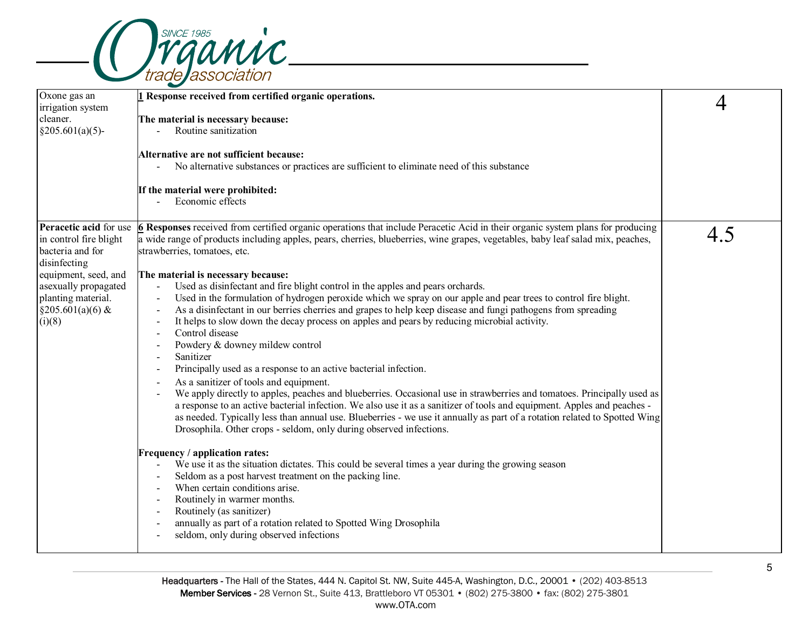

| Oxone gas an<br>irrigation system | 1 Response received from certified organic operations.                                                                                                                                                                                            | 4   |
|-----------------------------------|---------------------------------------------------------------------------------------------------------------------------------------------------------------------------------------------------------------------------------------------------|-----|
| cleaner.                          | The material is necessary because:                                                                                                                                                                                                                |     |
| $§205.601(a)(5)$ -                | Routine sanitization                                                                                                                                                                                                                              |     |
|                                   | Alternative are not sufficient because:<br>No alternative substances or practices are sufficient to eliminate need of this substance                                                                                                              |     |
|                                   |                                                                                                                                                                                                                                                   |     |
|                                   | If the material were prohibited:<br>Economic effects                                                                                                                                                                                              |     |
| Peracetic acid for use            | 6 Responses received from certified organic operations that include Peracetic Acid in their organic system plans for producing                                                                                                                    | 4.5 |
| in control fire blight            | a wide range of products including apples, pears, cherries, blueberries, wine grapes, vegetables, baby leaf salad mix, peaches,                                                                                                                   |     |
| bacteria and for<br>disinfecting  | strawberries, tomatoes, etc.                                                                                                                                                                                                                      |     |
| equipment, seed, and              | The material is necessary because:                                                                                                                                                                                                                |     |
| asexually propagated              | Used as disinfectant and fire blight control in the apples and pears orchards.<br>$\blacksquare$                                                                                                                                                  |     |
| planting material.                | Used in the formulation of hydrogen peroxide which we spray on our apple and pear trees to control fire blight.<br>$\overline{\phantom{a}}$                                                                                                       |     |
| $§205.601(a)(6)$ &                | As a disinfectant in our berries cherries and grapes to help keep disease and fungi pathogens from spreading<br>$\blacksquare$                                                                                                                    |     |
| (i)(8)                            | It helps to slow down the decay process on apples and pears by reducing microbial activity.                                                                                                                                                       |     |
|                                   | Control disease                                                                                                                                                                                                                                   |     |
|                                   | Powdery & downey mildew control                                                                                                                                                                                                                   |     |
|                                   | Sanitizer<br>$\overline{\phantom{a}}$                                                                                                                                                                                                             |     |
|                                   | Principally used as a response to an active bacterial infection.<br>$\overline{\phantom{a}}$                                                                                                                                                      |     |
|                                   | As a sanitizer of tools and equipment.                                                                                                                                                                                                            |     |
|                                   | We apply directly to apples, peaches and blueberries. Occasional use in strawberries and tomatoes. Principally used as<br>a response to an active bacterial infection. We also use it as a sanitizer of tools and equipment. Apples and peaches - |     |
|                                   | as needed. Typically less than annual use. Blueberries - we use it annually as part of a rotation related to Spotted Wing                                                                                                                         |     |
|                                   | Drosophila. Other crops - seldom, only during observed infections.                                                                                                                                                                                |     |
|                                   | Frequency / application rates:                                                                                                                                                                                                                    |     |
|                                   | We use it as the situation dictates. This could be several times a year during the growing season                                                                                                                                                 |     |
|                                   | Seldom as a post harvest treatment on the packing line.                                                                                                                                                                                           |     |
|                                   | When certain conditions arise.                                                                                                                                                                                                                    |     |
|                                   | Routinely in warmer months.                                                                                                                                                                                                                       |     |
|                                   | Routinely (as sanitizer)<br>$\overline{\phantom{a}}$                                                                                                                                                                                              |     |
|                                   | annually as part of a rotation related to Spotted Wing Drosophila                                                                                                                                                                                 |     |
|                                   | seldom, only during observed infections<br>$\overline{a}$                                                                                                                                                                                         |     |
|                                   |                                                                                                                                                                                                                                                   |     |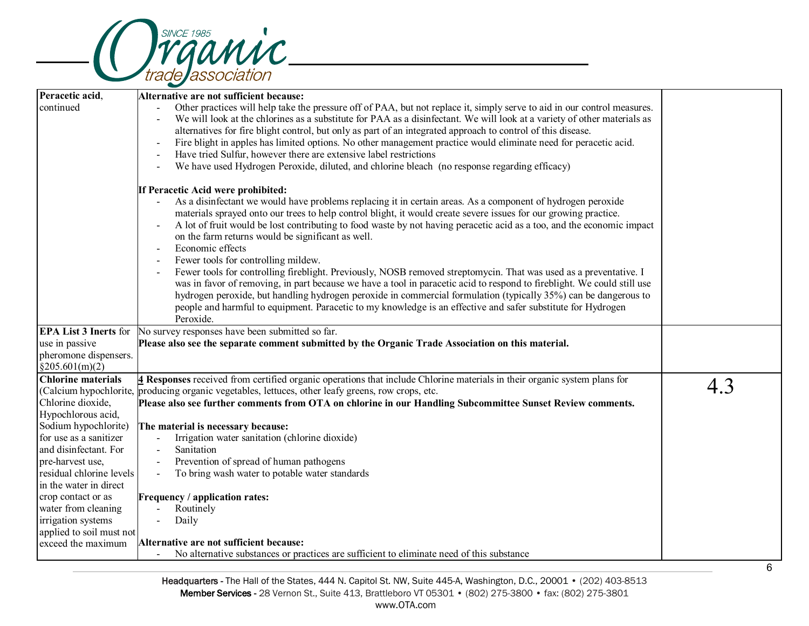

|                              | $\overline{\phantom{0}}$                                                                                                                      |     |
|------------------------------|-----------------------------------------------------------------------------------------------------------------------------------------------|-----|
| Peracetic acid,              | Alternative are not sufficient because:                                                                                                       |     |
| continued                    | Other practices will help take the pressure off of PAA, but not replace it, simply serve to aid in our control measures.                      |     |
|                              | We will look at the chlorines as a substitute for PAA as a disinfectant. We will look at a variety of other materials as                      |     |
|                              | alternatives for fire blight control, but only as part of an integrated approach to control of this disease.                                  |     |
|                              | Fire blight in apples has limited options. No other management practice would eliminate need for peracetic acid.<br>$\overline{\phantom{a}}$  |     |
|                              | Have tried Sulfur, however there are extensive label restrictions                                                                             |     |
|                              | We have used Hydrogen Peroxide, diluted, and chlorine bleach (no response regarding efficacy)                                                 |     |
|                              |                                                                                                                                               |     |
|                              | If Peracetic Acid were prohibited:                                                                                                            |     |
|                              | As a disinfectant we would have problems replacing it in certain areas. As a component of hydrogen peroxide                                   |     |
|                              | materials sprayed onto our trees to help control blight, it would create severe issues for our growing practice.                              |     |
|                              | A lot of fruit would be lost contributing to food waste by not having peracetic acid as a too, and the economic impact                        |     |
|                              | on the farm returns would be significant as well.                                                                                             |     |
|                              | Economic effects                                                                                                                              |     |
|                              | Fewer tools for controlling mildew.                                                                                                           |     |
|                              | Fewer tools for controlling fireblight. Previously, NOSB removed streptomycin. That was used as a preventative. I<br>$\overline{\phantom{a}}$ |     |
|                              | was in favor of removing, in part because we have a tool in paracetic acid to respond to fireblight. We could still use                       |     |
|                              | hydrogen peroxide, but handling hydrogen peroxide in commercial formulation (typically 35%) can be dangerous to                               |     |
|                              | people and harmful to equipment. Paracetic to my knowledge is an effective and safer substitute for Hydrogen                                  |     |
|                              | Peroxide.                                                                                                                                     |     |
| <b>EPA List 3 Inerts for</b> | No survey responses have been submitted so far.                                                                                               |     |
| use in passive               | Please also see the separate comment submitted by the Organic Trade Association on this material.                                             |     |
| pheromone dispensers.        |                                                                                                                                               |     |
| §205.601(m)(2)               |                                                                                                                                               |     |
| <b>Chlorine materials</b>    | 4 Responses received from certified organic operations that include Chlorine materials in their organic system plans for                      | 4.3 |
|                              | (Calcium hypochlorite, producing organic vegetables, lettuces, other leafy greens, row crops, etc.                                            |     |
| Chlorine dioxide,            | Please also see further comments from OTA on chlorine in our Handling Subcommittee Sunset Review comments.                                    |     |
| Hypochlorous acid,           |                                                                                                                                               |     |
| Sodium hypochlorite)         | The material is necessary because:                                                                                                            |     |
| for use as a sanitizer       | Irrigation water sanitation (chlorine dioxide)                                                                                                |     |
| and disinfectant. For        | Sanitation                                                                                                                                    |     |
| pre-harvest use,             | Prevention of spread of human pathogens<br>$\blacksquare$                                                                                     |     |
| residual chlorine levels     | To bring wash water to potable water standards<br>$\overline{a}$                                                                              |     |
| in the water in direct       |                                                                                                                                               |     |
| crop contact or as           | Frequency / application rates:                                                                                                                |     |
| water from cleaning          | Routinely                                                                                                                                     |     |
| irrigation systems           | Daily                                                                                                                                         |     |
| applied to soil must not     |                                                                                                                                               |     |
| exceed the maximum           | Alternative are not sufficient because:                                                                                                       |     |
|                              | No alternative substances or practices are sufficient to eliminate need of this substance                                                     |     |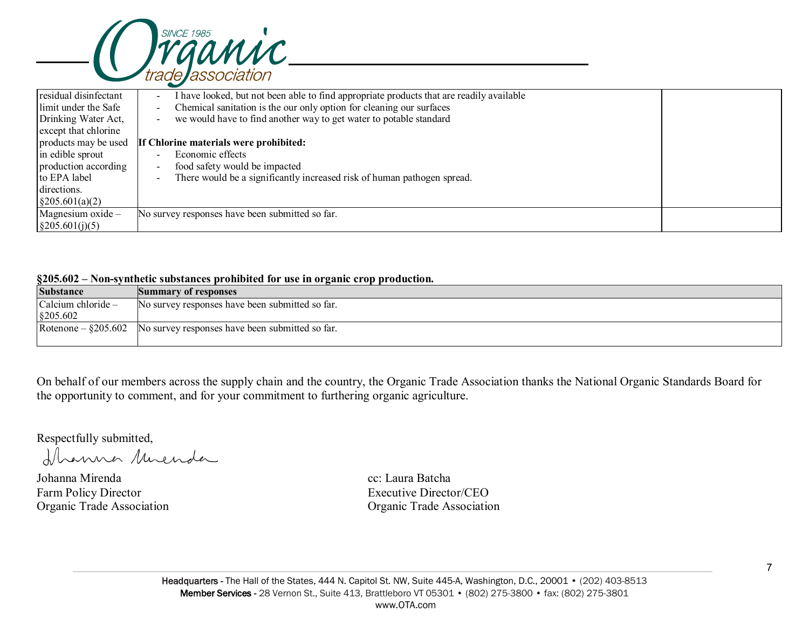

| residual disinfectant     | have looked, but not been able to find appropriate products that are readily available<br>$\overline{\phantom{a}}$ |  |
|---------------------------|--------------------------------------------------------------------------------------------------------------------|--|
| limit under the Safe      | Chemical sanitation is the our only option for cleaning our surfaces<br>$\blacksquare$                             |  |
| Drinking Water Act,       | we would have to find another way to get water to potable standard                                                 |  |
| except that chlorine      |                                                                                                                    |  |
| products may be used      | If Chlorine materials were prohibited:                                                                             |  |
| in edible sprout          | Economic effects                                                                                                   |  |
| production according      | food safety would be impacted<br>$\overline{\phantom{a}}$                                                          |  |
| to EPA label              | There would be a significantly increased risk of human pathogen spread.<br>$\overline{\phantom{a}}$                |  |
| directions.               |                                                                                                                    |  |
| $\frac{205.601(a)(2)}{2}$ |                                                                                                                    |  |
| Magnesium oxide $-$       | No survey responses have been submitted so far.                                                                    |  |
| $\frac{205.601(j)(5)}{}$  |                                                                                                                    |  |

### **§205.602 – Non-synthetic substances prohibited for use in organic crop production.**

| <b>Substance</b>            | Summary of responses                            |  |  |  |
|-----------------------------|-------------------------------------------------|--|--|--|
| $\alpha$ Calcium chloride – | No survey responses have been submitted so far. |  |  |  |
| $\S$ 205.602                |                                                 |  |  |  |
| Rotenone – $\S 205.602$     | No survey responses have been submitted so far. |  |  |  |
|                             |                                                 |  |  |  |

On behalf of our members across the supply chain and the country, the Organic Trade Association thanks the National Organic Standards Board for the opportunity to comment, and for your commitment to furthering organic agriculture.

Respectfully submitted,

Dhanna Muenda

Johanna Mirenda cc: Laura Batcha Farm Policy Director Executive Director/CEO

Organic Trade Association Organic Trade Association

7